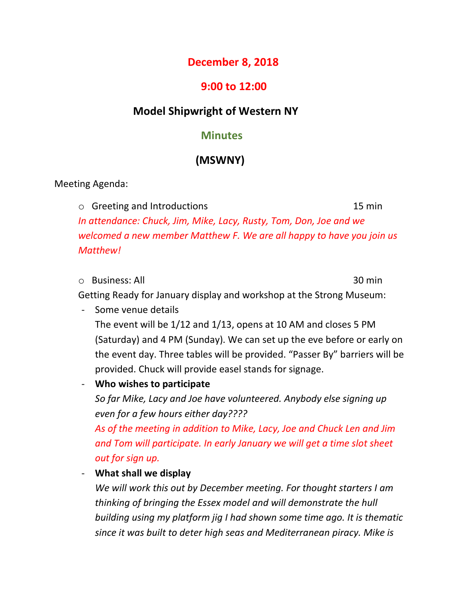### **December 8, 2018**

## **9:00 to 12:00**

# **Model Shipwright of Western NY**

## **Minutes**

# **(MSWNY)**

Meeting Agenda:

o Greeting and Introductions 15 min *In attendance: Chuck, Jim, Mike, Lacy, Rusty, Tom, Don, Joe and we welcomed a new member Matthew F. We are all happy to have you join us Matthew!*

o Business: All 30 min Getting Ready for January display and workshop at the Strong Museum:

- Some venue details The event will be 1/12 and 1/13, opens at 10 AM and closes 5 PM (Saturday) and 4 PM (Sunday). We can set up the eve before or early on the event day. Three tables will be provided. "Passer By" barriers will be provided. Chuck will provide easel stands for signage.
- **Who wishes to participate**

*So far Mike, Lacy and Joe have volunteered. Anybody else signing up even for a few hours either day????*

*As of the meeting in addition to Mike, Lacy, Joe and Chuck Len and Jim and Tom will participate. In early January we will get a time slot sheet out for sign up.*

- **What shall we display**

*We will work this out by December meeting. For thought starters I am thinking of bringing the Essex model and will demonstrate the hull building using my platform jig I had shown some time ago. It is thematic since it was built to deter high seas and Mediterranean piracy. Mike is*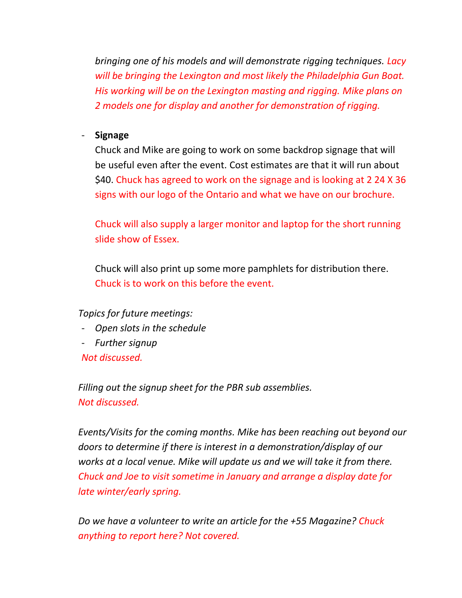*bringing one of his models and will demonstrate rigging techniques. Lacy will be bringing the Lexington and most likely the Philadelphia Gun Boat. His working will be on the Lexington masting and rigging. Mike plans on 2 models one for display and another for demonstration of rigging.*

#### - **Signage**

Chuck and Mike are going to work on some backdrop signage that will be useful even after the event. Cost estimates are that it will run about \$40. Chuck has agreed to work on the signage and is looking at 2 24 X 36 signs with our logo of the Ontario and what we have on our brochure.

Chuck will also supply a larger monitor and laptop for the short running slide show of Essex.

Chuck will also print up some more pamphlets for distribution there. Chuck is to work on this before the event.

*Topics for future meetings:*

- *Open slots in the schedule*
- *Further signup*

*Not discussed.*

*Filling out the signup sheet for the PBR sub assemblies. Not discussed.*

*Events/Visits for the coming months. Mike has been reaching out beyond our doors to determine if there is interest in a demonstration/display of our works at a local venue. Mike will update us and we will take it from there. Chuck and Joe to visit sometime in January and arrange a display date for late winter/early spring.*

*Do we have a volunteer to write an article for the +55 Magazine? Chuck anything to report here? Not covered.*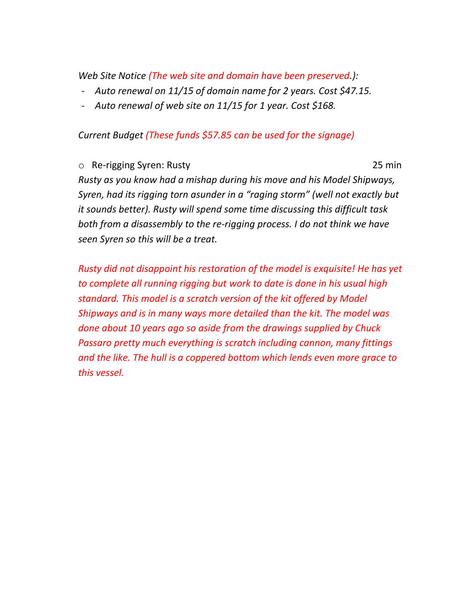*Web Site Notice (The web site and domain have been preserved.):*

- *Auto renewal on 11/15 of domain name for 2 years. Cost \$47.15.*
- *Auto renewal of web site on 11/15 for 1 year. Cost \$168.*

#### *Current Budget (These funds \$57.85 can be used for the signage)*

#### o Re-rigging Syren: Rusty 25 min

*Rusty as you know had a mishap during his move and his Model Shipways, Syren, had its rigging torn asunder in a "raging storm" (well not exactly but it sounds better). Rusty will spend some time discussing this difficult task both from a disassembly to the re-rigging process. I do not think we have seen Syren so this will be a treat.*

*Rusty did not disappoint his restoration of the model is exquisite! He has yet to complete all running rigging but work to date is done in his usual high standard. This model is a scratch version of the kit offered by Model Shipways and is in many ways more detailed than the kit. The model was done about 10 years ago so aside from the drawings supplied by Chuck Passaro pretty much everything is scratch including cannon, many fittings and the like. The hull is a coppered bottom which lends even more grace to this vessel.*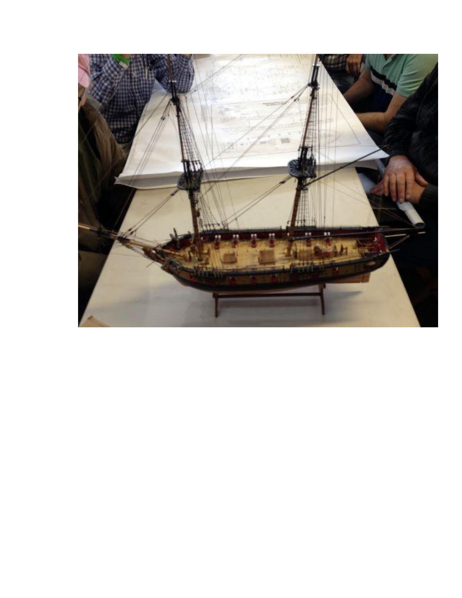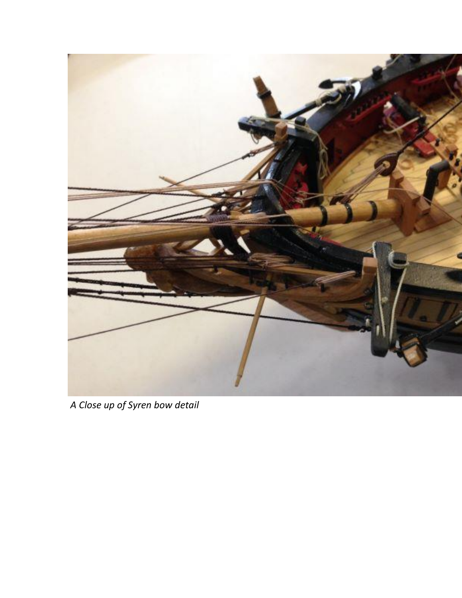

*A Close up of Syren bow detail*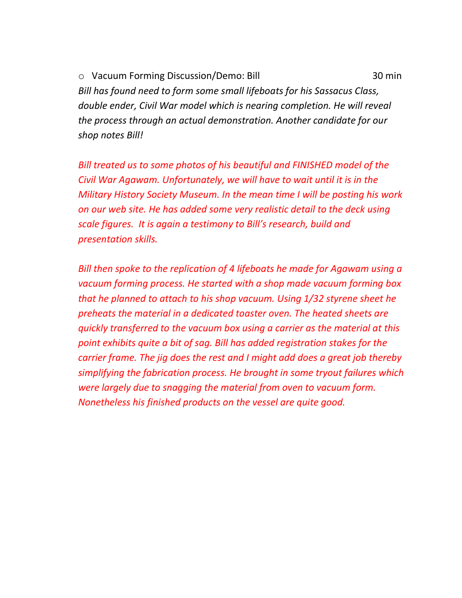o Vacuum Forming Discussion/Demo: Bill 30 min *Bill has found need to form some small lifeboats for his Sassacus Class, double ender, Civil War model which is nearing completion. He will reveal the process through an actual demonstration. Another candidate for our shop notes Bill!*

*Bill treated us to some photos of his beautiful and FINISHED model of the Civil War Agawam. Unfortunately, we will have to wait until it is in the Military History Society Museum. In the mean time I will be posting his work on our web site. He has added some very realistic detail to the deck using scale figures. It is again a testimony to Bill's research, build and presentation skills.*

*Bill then spoke to the replication of 4 lifeboats he made for Agawam using a vacuum forming process. He started with a shop made vacuum forming box that he planned to attach to his shop vacuum. Using 1/32 styrene sheet he preheats the material in a dedicated toaster oven. The heated sheets are quickly transferred to the vacuum box using a carrier as the material at this point exhibits quite a bit of sag. Bill has added registration stakes for the carrier frame. The jig does the rest and I might add does a great job thereby simplifying the fabrication process. He brought in some tryout failures which were largely due to snagging the material from oven to vacuum form. Nonetheless his finished products on the vessel are quite good.*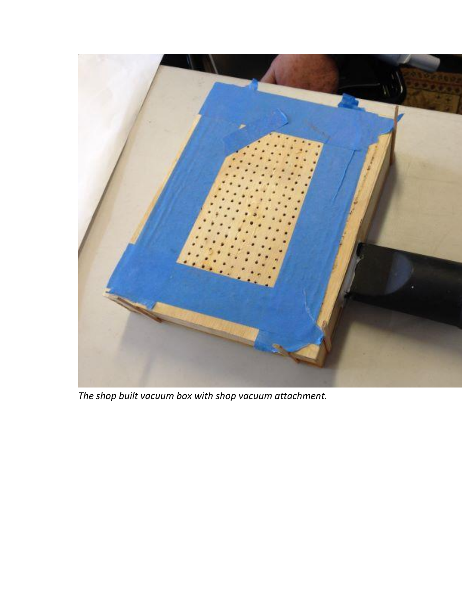

*The shop built vacuum box with shop vacuum attachment.*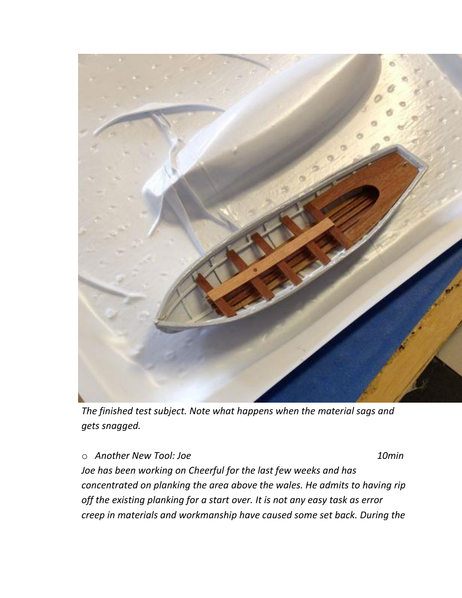

*The finished test subject. Note what happens when the material sags and gets snagged.*

o *Another New Tool: Joe 10min*

*Joe has been working on Cheerful for the last few weeks and has concentrated on planking the area above the wales. He admits to having rip off the existing planking for a start over. It is not any easy task as error creep in materials and workmanship have caused some set back. During the*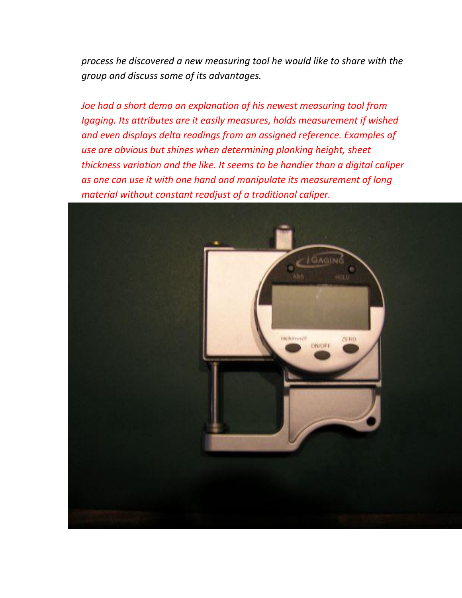*process he discovered a new measuring tool he would like to share with the group and discuss some of its advantages.*

*Joe had a short demo an explanation of his newest measuring tool from Igaging. Its attributes are it easily measures, holds measurement if wished and even displays delta readings from an assigned reference. Examples of use are obvious but shines when determining planking height, sheet thickness variation and the like. It seems to be handier than a digital caliper as one can use it with one hand and manipulate its measurement of long material without constant readjust of a traditional caliper.*

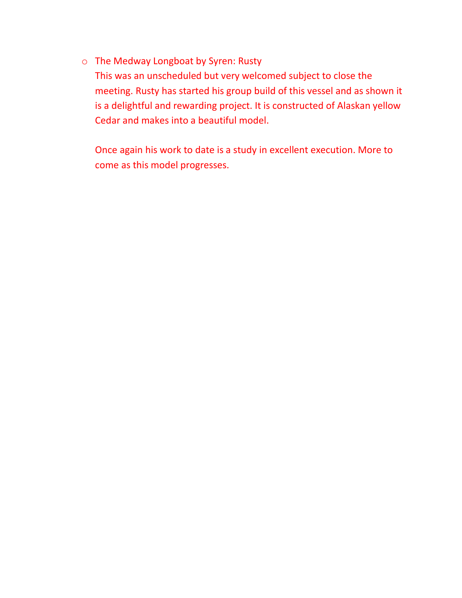#### o The Medway Longboat by Syren: Rusty

This was an unscheduled but very welcomed subject to close the meeting. Rusty has started his group build of this vessel and as shown it is a delightful and rewarding project. It is constructed of Alaskan yellow Cedar and makes into a beautiful model.

Once again his work to date is a study in excellent execution. More to come as this model progresses.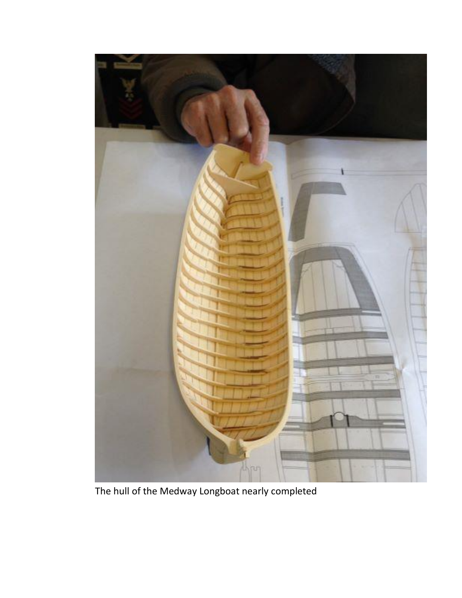

The hull of the Medway Longboat nearly completed